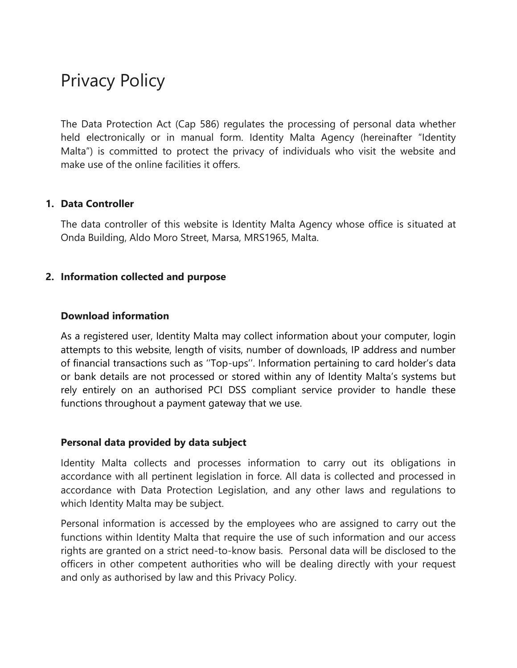# Privacy Policy

The Data Protection Act (Cap 586) regulates the processing of personal data whether held electronically or in manual form. Identity Malta Agency (hereinafter "Identity Malta") is committed to protect the privacy of individuals who visit the website and make use of the online facilities it offers.

#### **1. Data Controller**

The data controller of this website is Identity Malta Agency whose office is situated at Onda Building, Aldo Moro Street, Marsa, MRS1965, Malta.

### **2. Information collected and purpose**

#### **Download information**

As a registered user, Identity Malta may collect information about your computer, login attempts to this website, length of visits, number of downloads, IP address and number of financial transactions such as ""Top-ups"". Information pertaining to card holder"s data or bank details are not processed or stored within any of Identity Malta"s systems but rely entirely on an authorised PCI DSS compliant service provider to handle these functions throughout a payment gateway that we use.

#### **Personal data provided by data subject**

Identity Malta collects and processes information to carry out its obligations in accordance with all pertinent legislation in force. All data is collected and processed in accordance with Data Protection Legislation, and any other laws and regulations to which Identity Malta may be subject.

Personal information is accessed by the employees who are assigned to carry out the functions within Identity Malta that require the use of such information and our access rights are granted on a strict need-to-know basis. Personal data will be disclosed to the officers in other competent authorities who will be dealing directly with your request and only as authorised by law and this Privacy Policy.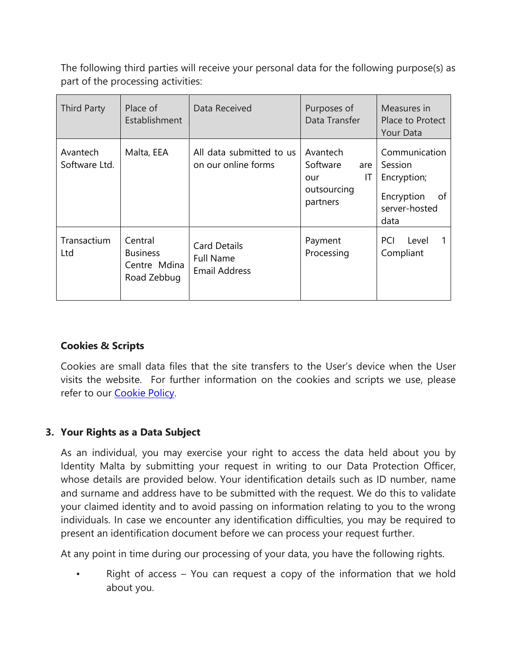The following third parties will receive your personal data for the following purpose(s) as part of the processing activities:

| <b>Third Party</b>        | Place of<br>Establishment                                 | Data Received                                                   | Purposes of<br>Data Transfer                                        | Measures in<br>Place to Protect<br>Your Data                                         |
|---------------------------|-----------------------------------------------------------|-----------------------------------------------------------------|---------------------------------------------------------------------|--------------------------------------------------------------------------------------|
| Avantech<br>Software Ltd. | Malta, EEA                                                | All data submitted to us<br>on our online forms                 | Avantech<br>Software<br>are<br>IT<br>our<br>outsourcing<br>partners | Communication<br>Session<br>Encryption;<br>Encryption<br>of<br>server-hosted<br>data |
| Transactium<br>Ltd        | Central<br><b>Business</b><br>Centre Mdina<br>Road Zebbug | <b>Card Details</b><br><b>Full Name</b><br><b>Email Address</b> | Payment<br>Processing                                               | PCI<br>Level<br>Compliant                                                            |

## **Cookies & Scripts**

Cookies are small data files that the site transfers to the User"s device when the User visits the website. For further information on the cookies and scripts we use, please refer to our **Cookie Policy**.

## **3. Your Rights as a Data Subject**

As an individual, you may exercise your right to access the data held about you by Identity Malta by submitting your request in writing to our Data Protection Officer, whose details are provided below. Your identification details such as ID number, name and surname and address have to be submitted with the request. We do this to validate your claimed identity and to avoid passing on information relating to you to the wrong individuals. In case we encounter any identification difficulties, you may be required to present an identification document before we can process your request further.

At any point in time during our processing of your data, you have the following rights.

Right of access  $-$  You can request a copy of the information that we hold about you.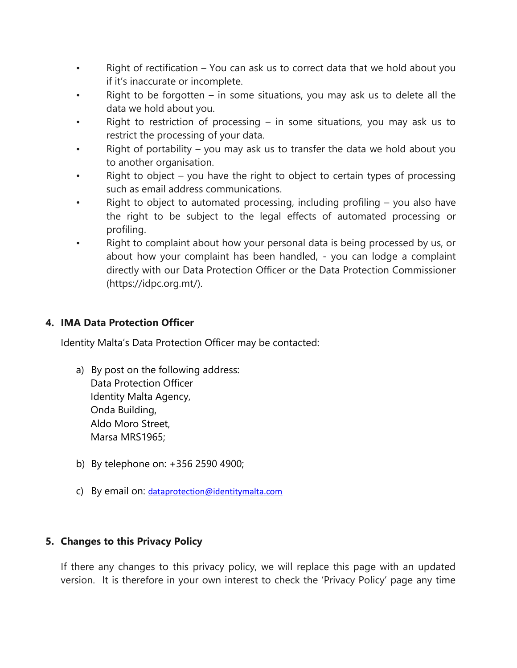- Right of rectification You can ask us to correct data that we hold about you if it"s inaccurate or incomplete.
- Right to be forgotten in some situations, you may ask us to delete all the data we hold about you.
- Right to restriction of processing  $-$  in some situations, you may ask us to restrict the processing of your data.
- Right of portability  $-$  you may ask us to transfer the data we hold about you to another organisation.
- Right to object  $-$  you have the right to object to certain types of processing such as email address communications.
- Right to object to automated processing, including profiling  $-$  you also have the right to be subject to the legal effects of automated processing or profiling.
- Right to complaint about how your personal data is being processed by us, or about how your complaint has been handled, - you can lodge a complaint directly with our Data Protection Officer or the Data Protection Commissioner (https://idpc.org.mt/).

## **4. IMA Data Protection Officer**

Identity Malta"s Data Protection Officer may be contacted:

- a) By post on the following address: Data Protection Officer Identity Malta Agency, Onda Building, Aldo Moro Street, Marsa MRS1965;
- b) By telephone on: +356 2590 4900;
- c) By email on: [dataprotection@identitymalta.com](mailto:dataprotection@identitymalta.com)

## **5. Changes to this Privacy Policy**

If there any changes to this privacy policy, we will replace this page with an updated version. It is therefore in your own interest to check the "Privacy Policy" page any time